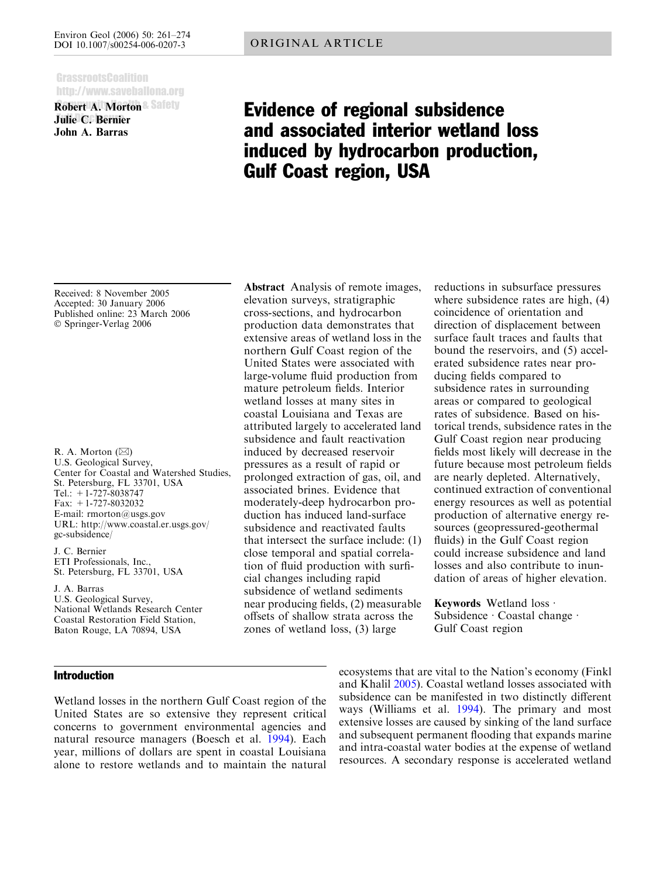### **GrassrootsCoalition** http://www.saveballona.org

Robert A. Morton Julie C. Bernier John A. Barras

# Evidence of regional subsidence and associated interior wetland loss induced by hydrocarbon production, Gulf Coast region, USA

Received: 8 November 2005 Accepted: 30 January 2006 Published online: 23 March 2006 Springer-Verlag 2006

R. A. Morton  $(\boxtimes)$ U.S. Geological Survey, Center for Coastal and Watershed Studies, St. Petersburg, FL 33701, USA Tel.: +1-727-8038747 Fax: +1-727-8032032 E-mail: rmorton@usgs.gov URL: http://www.coastal.er.usgs.gov/ gc-subsidence/

J. C. Bernier ETI Professionals, Inc., St. Petersburg, FL 33701, USA

J. A. Barras U.S. Geological Survey, National Wetlands Research Center Coastal Restoration Field Station, Baton Rouge, LA 70894, USA

## Introduction

Wetland losses in the northern Gulf Coast region of the United States are so extensive they represent critical concerns to government environmental agencies and natural resource managers (Boesch et al. [1994](#page-12-0)). Each year, millions of dollars are spent in coastal Louisiana alone to restore wetlands and to maintain the natural

Abstract Analysis of remote images, elevation surveys, stratigraphic cross-sections, and hydrocarbon production data demonstrates that extensive areas of wetland loss in the northern Gulf Coast region of the United States were associated with large-volume fluid production from mature petroleum fields. Interior wetland losses at many sites in coastal Louisiana and Texas are attributed largely to accelerated land subsidence and fault reactivation induced by decreased reservoir pressures as a result of rapid or prolonged extraction of gas, oil, and associated brines. Evidence that moderately-deep hydrocarbon production has induced land-surface subsidence and reactivated faults that intersect the surface include: (1) close temporal and spatial correlation of fluid production with surficial changes including rapid subsidence of wetland sediments near producing fields, (2) measurable offsets of shallow strata across the zones of wetland loss, (3) large

reductions in subsurface pressures where subsidence rates are high, (4) coincidence of orientation and direction of displacement between surface fault traces and faults that bound the reservoirs, and (5) accelerated subsidence rates near producing fields compared to subsidence rates in surrounding areas or compared to geological rates of subsidence. Based on historical trends, subsidence rates in the Gulf Coast region near producing fields most likely will decrease in the future because most petroleum fields are nearly depleted. Alternatively, continued extraction of conventional energy resources as well as potential production of alternative energy resources (geopressured-geothermal fluids) in the Gulf Coast region could increase subsidence and land losses and also contribute to inundation of areas of higher elevation.

Keywords Wetland loss  $\cdot$ Subsidence  $\cdot$  Coastal change  $\cdot$ Gulf Coast region

ecosystems that are vital to the Nation's economy (Finkl and Khalil [2005\)](#page-12-0). Coastal wetland losses associated with subsidence can be manifested in two distinctly different ways (Williams et al. [1994\)](#page-13-0). The primary and most extensive losses are caused by sinking of the land surface and subsequent permanent flooding that expands marine and intra-coastal water bodies at the expense of wetland resources. A secondary response is accelerated wetland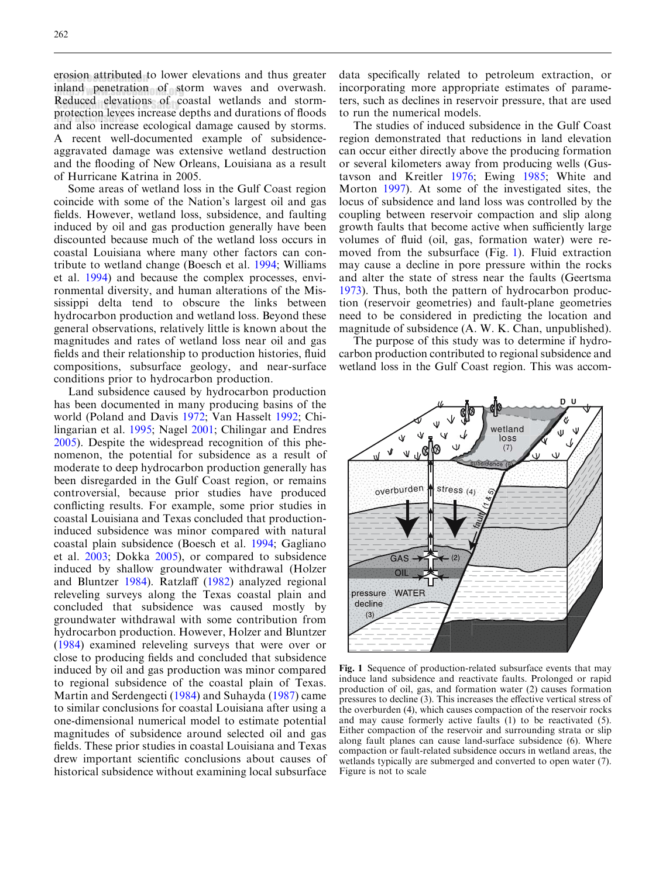<span id="page-1-0"></span>erosion attributed to lower elevations and thus greater inland penetration of storm waves and overwash. Reduced elevations of coastal wetlands and stormprotection levees increase depths and durations of floods protection reves increase depths and durations of hoods<br>and also increase ecological damage caused by storms. A recent well-documented example of subsidenceaggravated damage was extensive wetland destruction and the flooding of New Orleans, Louisiana as a result of Hurricane Katrina in 2005.

Some areas of wetland loss in the Gulf Coast region coincide with some of the Nation's largest oil and gas fields. However, wetland loss, subsidence, and faulting induced by oil and gas production generally have been discounted because much of the wetland loss occurs in coastal Louisiana where many other factors can contribute to wetland change (Boesch et al. [1994](#page-12-0); Williams et al. [1994](#page-13-0)) and because the complex processes, environmental diversity, and human alterations of the Mississippi delta tend to obscure the links between hydrocarbon production and wetland loss. Beyond these general observations, relatively little is known about the magnitudes and rates of wetland loss near oil and gas fields and their relationship to production histories, fluid compositions, subsurface geology, and near-surface conditions prior to hydrocarbon production.

Land subsidence caused by hydrocarbon production has been documented in many producing basins of the world (Poland and Davis [1972](#page-12-0); Van Hasselt [1992;](#page-13-0) Chilingarian et al. [1995;](#page-12-0) Nagel [2001;](#page-12-0) Chilingar and Endres [2005](#page-12-0)). Despite the widespread recognition of this phenomenon, the potential for subsidence as a result of moderate to deep hydrocarbon production generally has been disregarded in the Gulf Coast region, or remains controversial, because prior studies have produced conflicting results. For example, some prior studies in coastal Louisiana and Texas concluded that productioninduced subsidence was minor compared with natural coastal plain subsidence (Boesch et al. [1994;](#page-12-0) Gagliano et al. [2003](#page-12-0); Dokka [2005](#page-12-0)), or compared to subsidence induced by shallow groundwater withdrawal (Holzer and Bluntzer [1984](#page-12-0)). Ratzlaff [\(1982\)](#page-12-0) analyzed regional releveling surveys along the Texas coastal plain and concluded that subsidence was caused mostly by groundwater withdrawal with some contribution from hydrocarbon production. However, Holzer and Bluntzer ([1984\)](#page-12-0) examined releveling surveys that were over or close to producing fields and concluded that subsidence induced by oil and gas production was minor compared to regional subsidence of the coastal plain of Texas. Martin and Serdengecti [\(1984\)](#page-12-0) and Suhayda ([1987\)](#page-13-0) came to similar conclusions for coastal Louisiana after using a one-dimensional numerical model to estimate potential magnitudes of subsidence around selected oil and gas fields. These prior studies in coastal Louisiana and Texas drew important scientific conclusions about causes of historical subsidence without examining local subsurface data specifically related to petroleum extraction, or incorporating more appropriate estimates of parameters, such as declines in reservoir pressure, that are used to run the numerical models.

The studies of induced subsidence in the Gulf Coast region demonstrated that reductions in land elevation can occur either directly above the producing formation or several kilometers away from producing wells (Gustavson and Kreitler [1976](#page-12-0); Ewing [1985;](#page-12-0) White and Morton [1997\)](#page-13-0). At some of the investigated sites, the locus of subsidence and land loss was controlled by the coupling between reservoir compaction and slip along growth faults that become active when sufficiently large volumes of fluid (oil, gas, formation water) were removed from the subsurface (Fig. 1). Fluid extraction may cause a decline in pore pressure within the rocks and alter the state of stress near the faults (Geertsma [1973\)](#page-12-0). Thus, both the pattern of hydrocarbon production (reservoir geometries) and fault-plane geometries need to be considered in predicting the location and magnitude of subsidence (A. W. K. Chan, unpublished).

The purpose of this study was to determine if hydrocarbon production contributed to regional subsidence and wetland loss in the Gulf Coast region. This was accom-



Fig. 1 Sequence of production-related subsurface events that may induce land subsidence and reactivate faults. Prolonged or rapid production of oil, gas, and formation water (2) causes formation pressures to decline (3). This increases the effective vertical stress of the overburden (4), which causes compaction of the reservoir rocks and may cause formerly active faults (1) to be reactivated (5). Either compaction of the reservoir and surrounding strata or slip along fault planes can cause land-surface subsidence (6). Where compaction or fault-related subsidence occurs in wetland areas, the wetlands typically are submerged and converted to open water (7). Figure is not to scale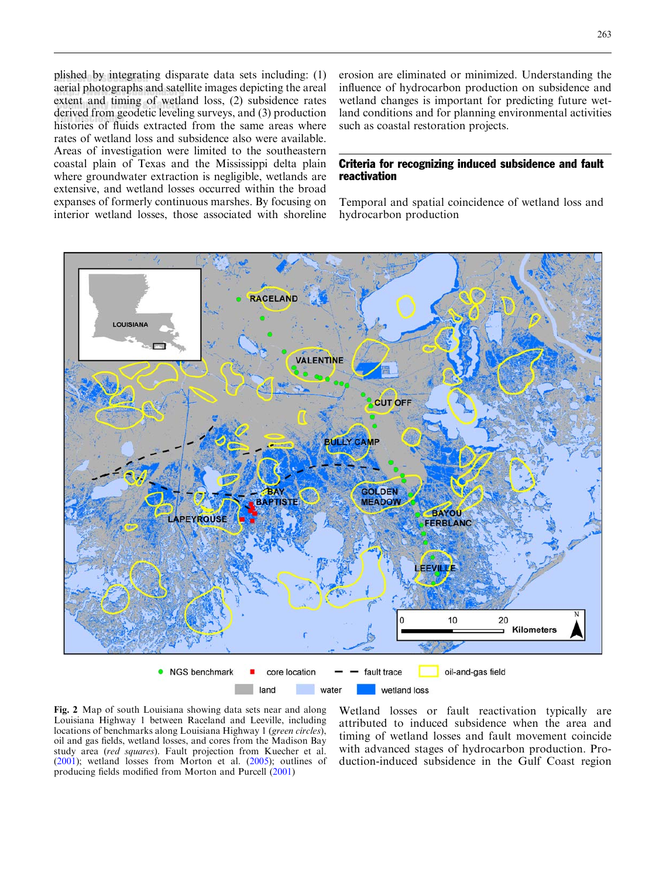<span id="page-2-0"></span>plished by integrating disparate data sets including: (1) aerial photographs and satellite images depicting the areal extent and timing of wetland loss,  $(2)$  subsidence rates derived from geodetic leveling surveys, and (3) production  $h$  istories of fluids extracted from the same areas where rates of wetland loss and subsidence also were available. Areas of investigation were limited to the southeastern coastal plain of Texas and the Mississippi delta plain where groundwater extraction is negligible, wetlands are extensive, and wetland losses occurred within the broad expanses of formerly continuous marshes. By focusing on interior wetland losses, those associated with shoreline erosion are eliminated or minimized. Understanding the influence of hydrocarbon production on subsidence and wetland changes is important for predicting future wetland conditions and for planning environmental activities such as coastal restoration projects.

## Criteria for recognizing induced subsidence and fault reactivation

Temporal and spatial coincidence of wetland loss and hydrocarbon production



Fig. 2 Map of south Louisiana showing data sets near and along Louisiana Highway 1 between Raceland and Leeville, including locations of benchmarks along Louisiana Highway 1 (green circles), oil and gas fields, wetland losses, and cores from the Madison Bay study area (red squares). Fault projection from Kuecher et al. [\(2001](#page-12-0)); wetland losses from Morton et al. [\(2005](#page-12-0)); outlines of producing fields modified from Morton and Purcell [\(2001](#page-12-0))

Wetland losses or fault reactivation typically are attributed to induced subsidence when the area and timing of wetland losses and fault movement coincide with advanced stages of hydrocarbon production. Production-induced subsidence in the Gulf Coast region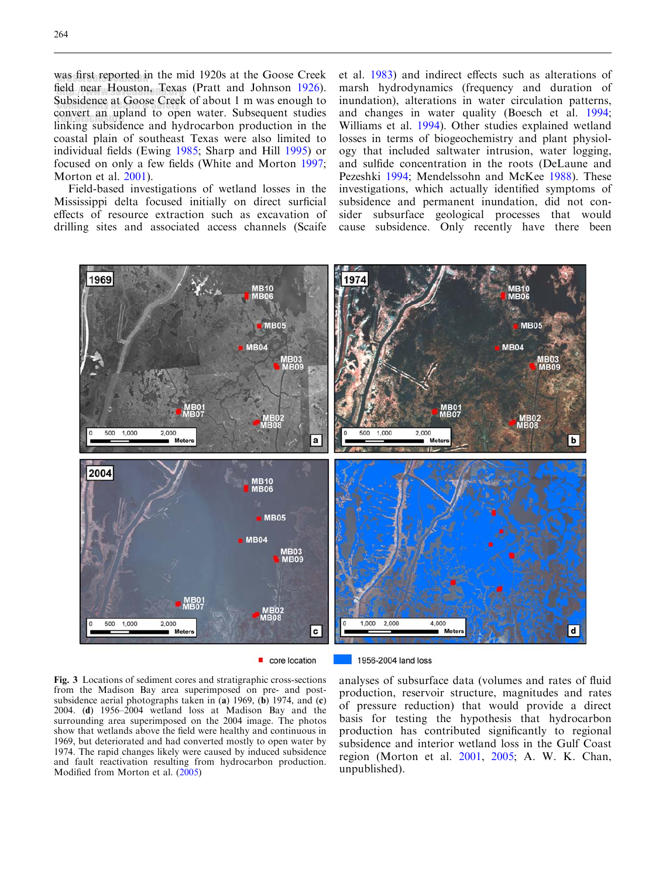<span id="page-3-0"></span>was first reported in the mid 1920s at the Goose Creek field near Houston, Texas (Pratt and Johnson [1926\)](#page-12-0). Subsidence at Goose Creek of about  $1 \text{ m}$  was enough to convert an upland to open water. Subsequent studies linking subsidence and hydrocarbon production in the coastal plain of southeast Texas were also limited to individual fields (Ewing [1985](#page-12-0); Sharp and Hill [1995](#page-13-0)) or focused on only a few fields (White and Morton [1997](#page-13-0); Morton et al. [2001](#page-12-0)).

Field-based investigations of wetland losses in the Mississippi delta focused initially on direct surficial effects of resource extraction such as excavation of drilling sites and associated access channels (Scaife

et al. [1983](#page-13-0)) and indirect effects such as alterations of marsh hydrodynamics (frequency and duration of inundation), alterations in water circulation patterns, and changes in water quality (Boesch et al. [1994](#page-12-0); Williams et al. [1994](#page-13-0)). Other studies explained wetland losses in terms of biogeochemistry and plant physiology that included saltwater intrusion, water logging, and sulfide concentration in the roots (DeLaune and Pezeshki [1994](#page-12-0); Mendelssohn and McKee [1988](#page-12-0)). These investigations, which actually identified symptoms of subsidence and permanent inundation, did not consider subsurface geological processes that would cause subsidence. Only recently have there been



core location

1956-2004 land loss

Fig. 3 Locations of sediment cores and stratigraphic cross-sections from the Madison Bay area superimposed on pre- and postsubsidence aerial photographs taken in (a) 1969, (b) 1974, and (c) 2004. (d) 1956–2004 wetland loss at Madison Bay and the surrounding area superimposed on the 2004 image. The photos show that wetlands above the field were healthy and continuous in 1969, but deteriorated and had converted mostly to open water by 1974. The rapid changes likely were caused by induced subsidence and fault reactivation resulting from hydrocarbon production. Modified from Morton et al. [\(2005\)](#page-12-0)

analyses of subsurface data (volumes and rates of fluid production, reservoir structure, magnitudes and rates of pressure reduction) that would provide a direct basis for testing the hypothesis that hydrocarbon production has contributed significantly to regional subsidence and interior wetland loss in the Gulf Coast region (Morton et al. [2001,](#page-12-0) [2005;](#page-12-0) A. W. K. Chan, unpublished).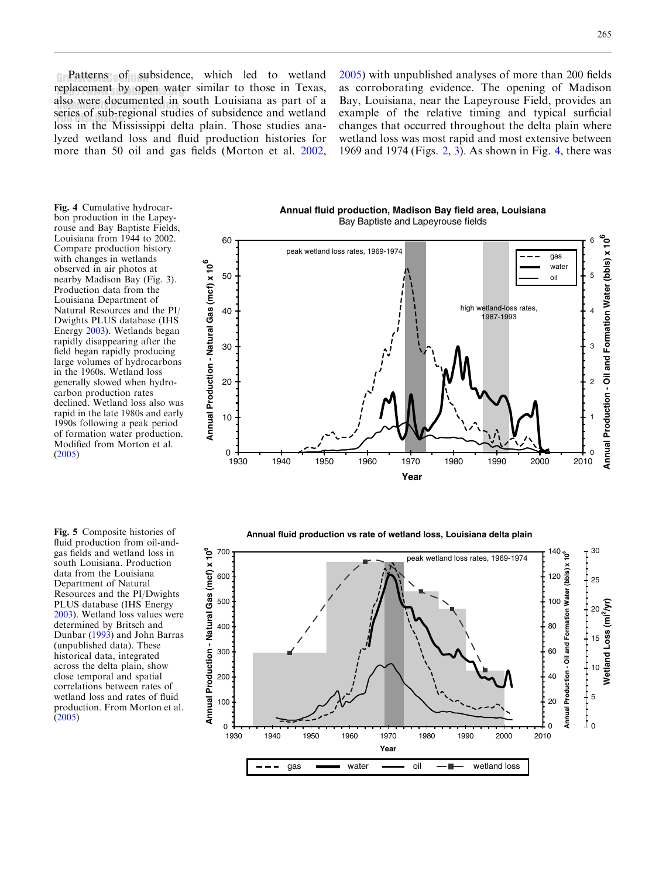<span id="page-4-0"></span>**Patterns of subsidence**, which led to wetland replacement by open water similar to those in Texas, also were documented in south Louisiana as part of a series of sub-regional studies of subsidence and wetland loss in the Mississippi delta plain. Those studies analyzed wetland loss and fluid production histories for more than 50 oil and gas fields (Morton et al. [2002](#page-12-0), [2005\)](#page-12-0) with unpublished analyses of more than 200 fields as corroborating evidence. The opening of Madison Bay, Louisiana, near the Lapeyrouse Field, provides an example of the relative timing and typical surficial changes that occurred throughout the delta plain where wetland loss was most rapid and most extensive between 1969 and 1974 (Figs. [2,](#page-2-0) [3](#page-3-0)). As shown in Fig. 4, there was

Fig. 4 Cumulative hydrocarbon production in the Lapeyrouse and Bay Baptiste Fields, Louisiana from 1944 to 2002. Compare production history with changes in wetlands observed in air photos at nearby Madison Bay (Fig. 3). Production data from the Louisiana Department of Natural Resources and the PI/ Dwights PLUS database (IHS Energy [2003\)](#page-12-0). Wetlands began rapidly disappearing after the field began rapidly producing large volumes of hydrocarbons in the 1960s. Wetland loss generally slowed when hydrocarbon production rates declined. Wetland loss also was rapid in the late 1980s and early 1990s following a peak period of formation water production. Modified from Morton et al. [\(2005](#page-12-0))

Fig. 5 Composite histories of fluid production from oil-andgas fields and wetland loss in south Louisiana. Production data from the Louisiana Department of Natural Resources and the PI/Dwights PLUS database (IHS Energy [2003](#page-12-0)). Wetland loss values were determined by Britsch and Dunbar [\(1993](#page-12-0)) and John Barras (unpublished data). These historical data, integrated across the delta plain, show close temporal and spatial correlations between rates of wetland loss and rates of fluid production. From Morton et al. [\(2005](#page-12-0))

**Annual fluid production, Madison Bay field area, Louisiana** Bay Baptiste and Lapeyrouse fields



**Annual fluid production vs rate of wetland loss, Louisiana delta plain**

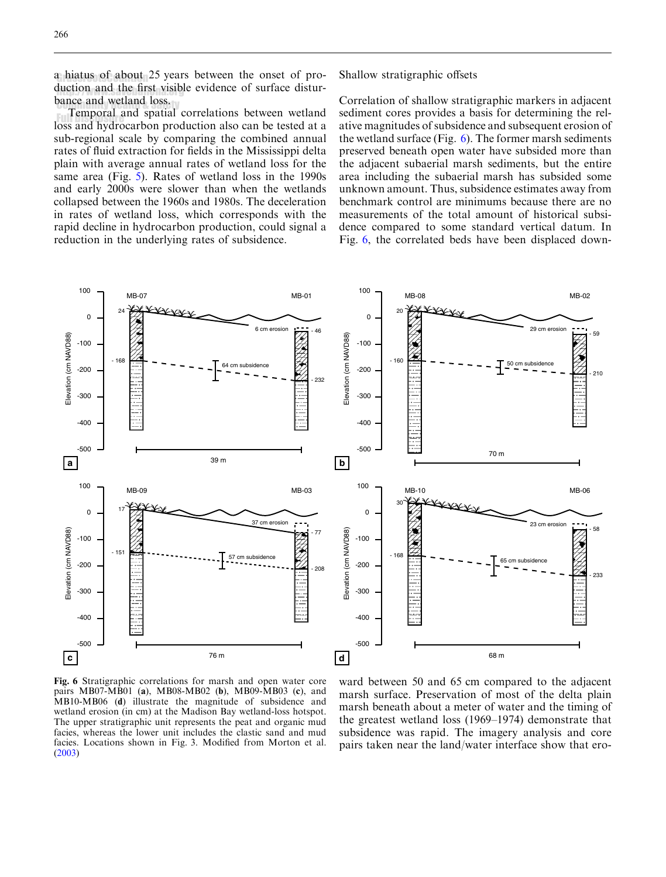<span id="page-5-0"></span>a hiatus of about 25 years between the onset of production and the first visible evidence of surface disturbance and wetland loss.

ance and wettand loss.<br>Temporal and spatial correlations between wetland Full potal and spatial correlations between weithing loss and hydrocarbon production also can be tested at a sub-regional scale by comparing the combined annual rates of fluid extraction for fields in the Mississippi delta plain with average annual rates of wetland loss for the same area (Fig. [5](#page-4-0)). Rates of wetland loss in the 1990s and early 2000s were slower than when the wetlands collapsed between the 1960s and 1980s. The deceleration in rates of wetland loss, which corresponds with the rapid decline in hydrocarbon production, could signal a reduction in the underlying rates of subsidence.

Shallow stratigraphic offsets

Correlation of shallow stratigraphic markers in adjacent sediment cores provides a basis for determining the relative magnitudes of subsidence and subsequent erosion of the wetland surface (Fig. 6). The former marsh sediments preserved beneath open water have subsided more than the adjacent subaerial marsh sediments, but the entire area including the subaerial marsh has subsided some unknown amount. Thus, subsidence estimates away from benchmark control are minimums because there are no measurements of the total amount of historical subsidence compared to some standard vertical datum. In Fig. 6, the correlated beds have been displaced down-



Fig. 6 Stratigraphic correlations for marsh and open water core pairs MB07-MB01 (a), MB08-MB02 (b), MB09-MB03 (c), and MB10-MB06 (d) illustrate the magnitude of subsidence and wetland erosion (in cm) at the Madison Bay wetland-loss hotspot. The upper stratigraphic unit represents the peat and organic mud facies, whereas the lower unit includes the clastic sand and mud facies. Locations shown in Fig. 3. Modified from Morton et al. [\(2003](#page-12-0))

ward between 50 and 65 cm compared to the adjacent marsh surface. Preservation of most of the delta plain marsh beneath about a meter of water and the timing of the greatest wetland loss (1969–1974) demonstrate that subsidence was rapid. The imagery analysis and core pairs taken near the land/water interface show that ero-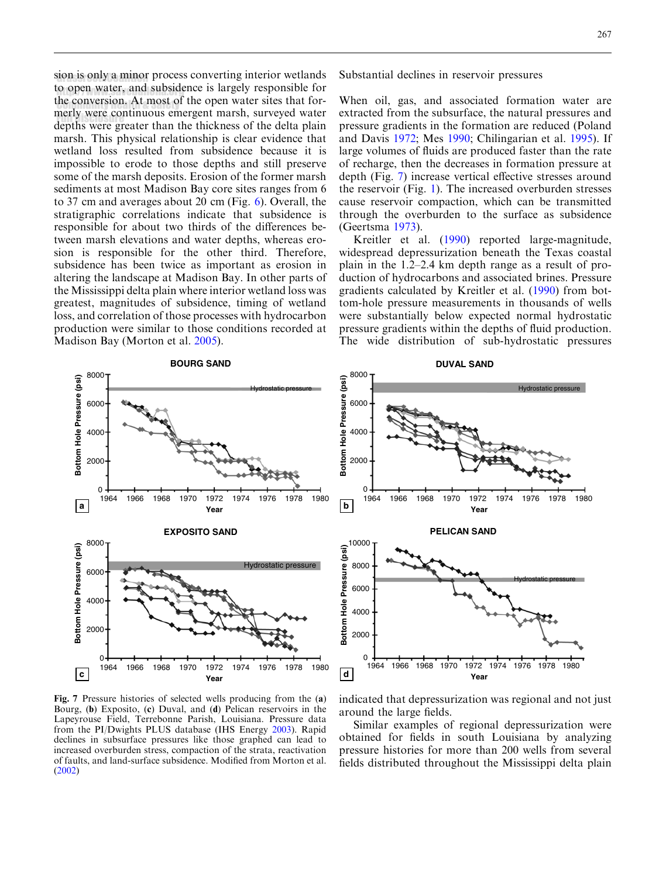sion is only a minor process converting interior wetlands to open water, and subsidence is largely responsible for the conversion. At most of the open water sites that formerly were continuous emergent marsh, surveyed water depths were greater than the thickness of the delta plain marsh. This physical relationship is clear evidence that wetland loss resulted from subsidence because it is impossible to erode to those depths and still preserve some of the marsh deposits. Erosion of the former marsh sediments at most Madison Bay core sites ranges from 6 to 37 cm and averages about 20 cm (Fig. [6\)](#page-5-0). Overall, the stratigraphic correlations indicate that subsidence is responsible for about two thirds of the differences between marsh elevations and water depths, whereas erosion is responsible for the other third. Therefore, subsidence has been twice as important as erosion in altering the landscape at Madison Bay. In other parts of the Mississippi delta plain where interior wetland loss was greatest, magnitudes of subsidence, timing of wetland loss, and correlation of those processes with hydrocarbon production were similar to those conditions recorded at Madison Bay (Morton et al. [2005](#page-12-0)).

Substantial declines in reservoir pressures

When oil, gas, and associated formation water are extracted from the subsurface, the natural pressures and pressure gradients in the formation are reduced (Poland and Davis [1972](#page-12-0); Mes [1990](#page-12-0); Chilingarian et al. [1995](#page-12-0)). If large volumes of fluids are produced faster than the rate of recharge, then the decreases in formation pressure at depth (Fig. 7) increase vertical effective stresses around the reservoir (Fig. [1](#page-1-0)). The increased overburden stresses cause reservoir compaction, which can be transmitted through the overburden to the surface as subsidence (Geertsma [1973](#page-12-0)).

Kreitler et al. ([1990\)](#page-12-0) reported large-magnitude, widespread depressurization beneath the Texas coastal plain in the 1.2–2.4 km depth range as a result of production of hydrocarbons and associated brines. Pressure gradients calculated by Kreitler et al. [\(1990\)](#page-12-0) from bottom-hole pressure measurements in thousands of wells were substantially below expected normal hydrostatic pressure gradients within the depths of fluid production. The wide distribution of sub-hydrostatic pressures



**DUVAL SAND**

8000



Fig. 7 Pressure histories of selected wells producing from the (a) Bourg, (b) Exposito, (c) Duval, and (d) Pelican reservoirs in the Lapeyrouse Field, Terrebonne Parish, Louisiana. Pressure data from the PI/Dwights PLUS database (IHS Energy [2003\)](#page-12-0). Rapid declines in subsurface pressures like those graphed can lead to increased overburden stress, compaction of the strata, reactivation of faults, and land-surface subsidence. Modified from Morton et al. [\(2002](#page-12-0))

indicated that depressurization was regional and not just around the large fields.

Similar examples of regional depressurization were obtained for fields in south Louisiana by analyzing pressure histories for more than 200 wells from several fields distributed throughout the Mississippi delta plain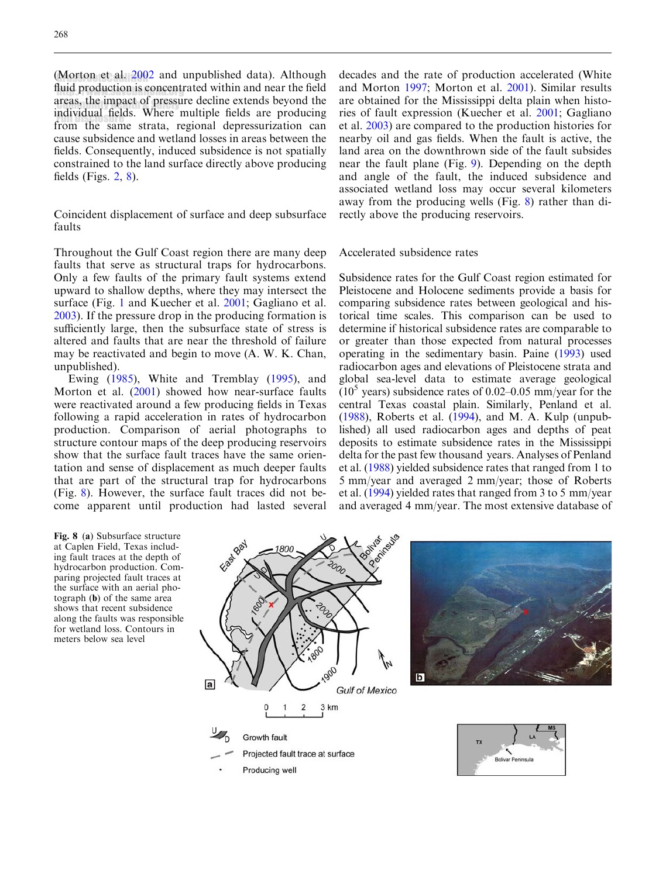<span id="page-7-0"></span>(Morton et al.  $2002$  and unpublished data). Although fluid production is concentrated within and near the field areas, the impact of pressure decline extends beyond the individual fields. Where multiple fields are producing marvidual fields. Where mumple helds are producing<br>from the same strata, regional depressurization can cause subsidence and wetland losses in areas between the fields. Consequently, induced subsidence is not spatially constrained to the land surface directly above producing fields (Figs. [2,](#page-2-0) 8).

Coincident displacement of surface and deep subsurface faults

Throughout the Gulf Coast region there are many deep faults that serve as structural traps for hydrocarbons. Only a few faults of the primary fault systems extend upward to shallow depths, where they may intersect the surface (Fig. [1](#page-1-0) and Kuecher et al. [2001](#page-12-0); Gagliano et al. [2003](#page-12-0)). If the pressure drop in the producing formation is sufficiently large, then the subsurface state of stress is altered and faults that are near the threshold of failure may be reactivated and begin to move (A. W. K. Chan, unpublished).

Ewing [\(1985](#page-12-0)), White and Tremblay [\(1995](#page-13-0)), and Morton et al. ([2001\)](#page-12-0) showed how near-surface faults were reactivated around a few producing fields in Texas following a rapid acceleration in rates of hydrocarbon production. Comparison of aerial photographs to structure contour maps of the deep producing reservoirs show that the surface fault traces have the same orientation and sense of displacement as much deeper faults that are part of the structural trap for hydrocarbons (Fig. 8). However, the surface fault traces did not become apparent until production had lasted several

decades and the rate of production accelerated (White and Morton [1997](#page-13-0); Morton et al. [2001\)](#page-12-0). Similar results are obtained for the Mississippi delta plain when histories of fault expression (Kuecher et al. [2001](#page-12-0); Gagliano et al. [2003\)](#page-12-0) are compared to the production histories for nearby oil and gas fields. When the fault is active, the land area on the downthrown side of the fault subsides near the fault plane (Fig. [9](#page-8-0)). Depending on the depth and angle of the fault, the induced subsidence and associated wetland loss may occur several kilometers away from the producing wells (Fig. 8) rather than directly above the producing reservoirs.

#### Accelerated subsidence rates

Subsidence rates for the Gulf Coast region estimated for Pleistocene and Holocene sediments provide a basis for comparing subsidence rates between geological and historical time scales. This comparison can be used to determine if historical subsidence rates are comparable to or greater than those expected from natural processes operating in the sedimentary basin. Paine [\(1993](#page-12-0)) used radiocarbon ages and elevations of Pleistocene strata and global sea-level data to estimate average geological  $(10<sup>5</sup>$  years) subsidence rates of 0.02–0.05 mm/year for the central Texas coastal plain. Similarly, Penland et al. ([1988](#page-12-0)), Roberts et al. ([1994\)](#page-13-0), and M. A. Kulp (unpublished) all used radiocarbon ages and depths of peat deposits to estimate subsidence rates in the Mississippi delta for the past few thousand years. Analyses of Penland et al. [\(1988](#page-12-0)) yielded subsidence rates that ranged from 1 to 5 mm/year and averaged 2 mm/year; those of Roberts et al. [\(1994\)](#page-13-0) yielded rates that ranged from 3 to 5 mm/year and averaged 4 mm/year. The most extensive database of

Fig. 8 (a) Subsurface structure at Caplen Field, Texas including fault traces at the depth of hydrocarbon production. Comparing projected fault traces at the surface with an aerial photograph (b) of the same area shows that recent subsidence along the faults was responsible for wetland loss. Contours in meters below sea level

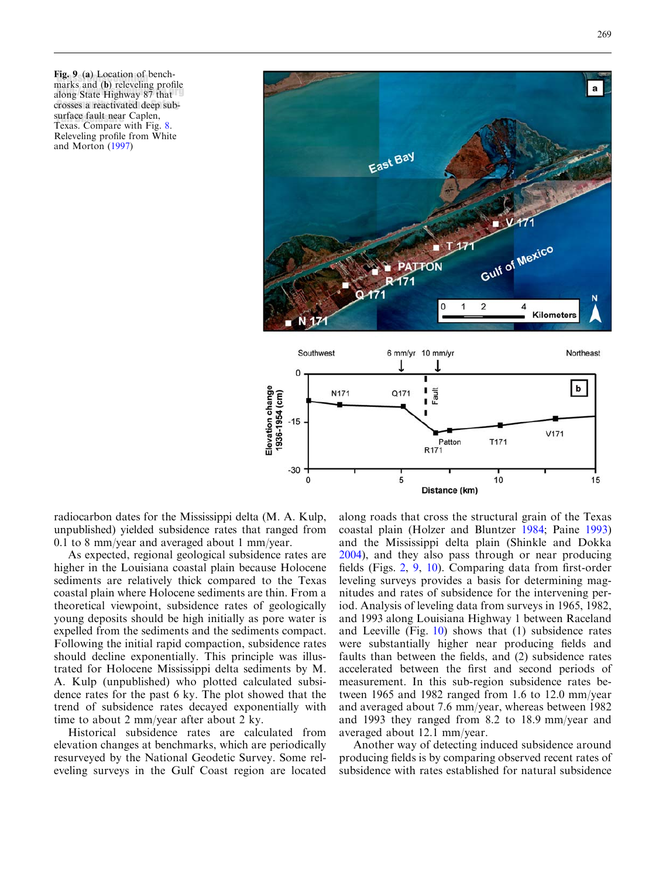<span id="page-8-0"></span>Fig. 9 (a) Location of benchrig. 9 (a) Location of bench-<br>marks and (b) releveling profile marke and (e) referring promoted crosses a reactivated deep subsurface fault near Caplen,<br>Treasc Campare with Eir Texas. Compare with Fig. [8.](#page-7-0) Releveling profile from White and Morton [\(1997](#page-13-0))



radiocarbon dates for the Mississippi delta (M. A. Kulp, unpublished) yielded subsidence rates that ranged from 0.1 to 8 mm/year and averaged about 1 mm/year.

As expected, regional geological subsidence rates are higher in the Louisiana coastal plain because Holocene sediments are relatively thick compared to the Texas coastal plain where Holocene sediments are thin. From a theoretical viewpoint, subsidence rates of geologically young deposits should be high initially as pore water is expelled from the sediments and the sediments compact. Following the initial rapid compaction, subsidence rates should decline exponentially. This principle was illustrated for Holocene Mississippi delta sediments by M. A. Kulp (unpublished) who plotted calculated subsidence rates for the past 6 ky. The plot showed that the trend of subsidence rates decayed exponentially with time to about 2 mm/year after about 2 ky.

Historical subsidence rates are calculated from elevation changes at benchmarks, which are periodically resurveyed by the National Geodetic Survey. Some releveling surveys in the Gulf Coast region are located

along roads that cross the structural grain of the Texas coastal plain (Holzer and Bluntzer [1984;](#page-12-0) Paine [1993\)](#page-12-0) and the Mississippi delta plain (Shinkle and Dokka [2004\)](#page-13-0), and they also pass through or near producing fields (Figs. [2,](#page-2-0) 9, [10\)](#page-9-0). Comparing data from first-order leveling surveys provides a basis for determining magnitudes and rates of subsidence for the intervening period. Analysis of leveling data from surveys in 1965, 1982, and 1993 along Louisiana Highway 1 between Raceland and Leeville (Fig.  $10$ ) shows that (1) subsidence rates were substantially higher near producing fields and faults than between the fields, and (2) subsidence rates accelerated between the first and second periods of measurement. In this sub-region subsidence rates between 1965 and 1982 ranged from 1.6 to 12.0 mm/year and averaged about 7.6 mm/year, whereas between 1982 and 1993 they ranged from 8.2 to 18.9 mm/year and averaged about 12.1 mm/year.

Another way of detecting induced subsidence around producing fields is by comparing observed recent rates of subsidence with rates established for natural subsidence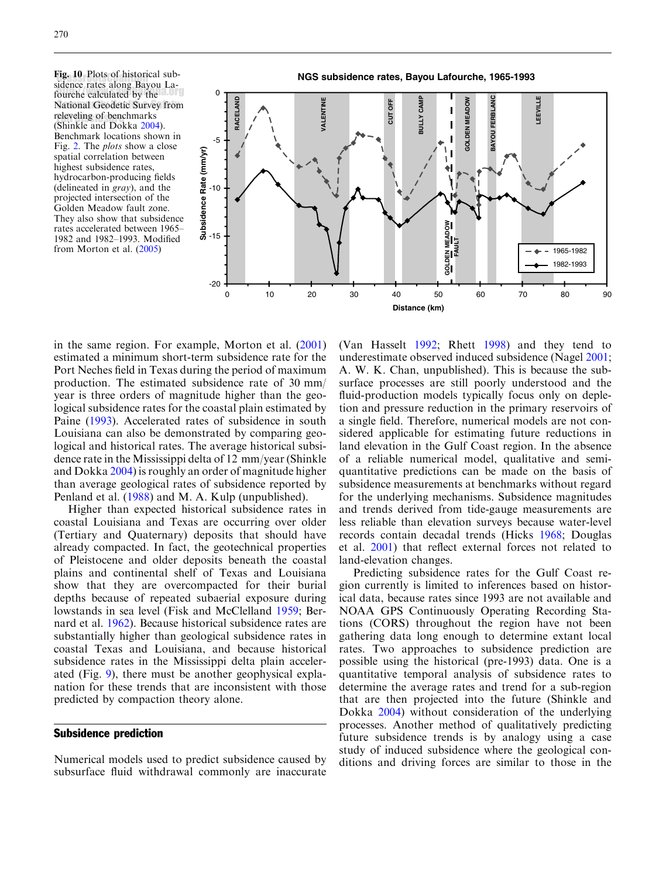<span id="page-9-0"></span>**Fig. 10** Plots of historical sub-<br>sidence rates along Bayou La sidence rates along Bayou Lafourche calculated by the National Geodetic Survey from releveling of benchmarks (Shinkle and Dokka [2004\)](#page-13-0). Benchmark locations shown in Fig. [2.](#page-2-0) The plots show a close spatial correlation between highest subsidence rates, hydrocarbon-producing fields (delineated in gray), and the projected intersection of the Golden Meadow fault zone. They also show that subsidence rates accelerated between 1965– 1982 and 1982–1993. Modified from Morton et al. [\(2005](#page-12-0))



in the same region. For example, Morton et al. [\(2001\)](#page-12-0) estimated a minimum short-term subsidence rate for the Port Neches field in Texas during the period of maximum production. The estimated subsidence rate of 30 mm/ year is three orders of magnitude higher than the geological subsidence rates for the coastal plain estimated by Paine ([1993](#page-12-0)). Accelerated rates of subsidence in south Louisiana can also be demonstrated by comparing geological and historical rates. The average historical subsidence rate in the Mississippi delta of 12 mm/year (Shinkle and Dokka [2004\)](#page-13-0) is roughly an order of magnitude higher than average geological rates of subsidence reported by Penland et al. ([1988\)](#page-12-0) and M. A. Kulp (unpublished).

Higher than expected historical subsidence rates in coastal Louisiana and Texas are occurring over older (Tertiary and Quaternary) deposits that should have already compacted. In fact, the geotechnical properties of Pleistocene and older deposits beneath the coastal plains and continental shelf of Texas and Louisiana show that they are overcompacted for their burial depths because of repeated subaerial exposure during lowstands in sea level (Fisk and McClelland [1959](#page-12-0); Bernard et al. [1962\)](#page-12-0). Because historical subsidence rates are substantially higher than geological subsidence rates in coastal Texas and Louisiana, and because historical subsidence rates in the Mississippi delta plain accelerated (Fig. [9\)](#page-8-0), there must be another geophysical explanation for these trends that are inconsistent with those predicted by compaction theory alone.

#### Subsidence prediction

Numerical models used to predict subsidence caused by subsurface fluid withdrawal commonly are inaccurate

(Van Hasselt [1992;](#page-13-0) Rhett [1998\)](#page-12-0) and they tend to underestimate observed induced subsidence (Nagel [2001](#page-12-0); A. W. K. Chan, unpublished). This is because the subsurface processes are still poorly understood and the fluid-production models typically focus only on depletion and pressure reduction in the primary reservoirs of a single field. Therefore, numerical models are not considered applicable for estimating future reductions in land elevation in the Gulf Coast region. In the absence of a reliable numerical model, qualitative and semiquantitative predictions can be made on the basis of subsidence measurements at benchmarks without regard for the underlying mechanisms. Subsidence magnitudes and trends derived from tide-gauge measurements are less reliable than elevation surveys because water-level records contain decadal trends (Hicks [1968;](#page-12-0) Douglas et al. [2001\)](#page-12-0) that reflect external forces not related to land-elevation changes.

Predicting subsidence rates for the Gulf Coast region currently is limited to inferences based on historical data, because rates since 1993 are not available and NOAA GPS Continuously Operating Recording Stations (CORS) throughout the region have not been gathering data long enough to determine extant local rates. Two approaches to subsidence prediction are possible using the historical (pre-1993) data. One is a quantitative temporal analysis of subsidence rates to determine the average rates and trend for a sub-region that are then projected into the future (Shinkle and Dokka [2004\)](#page-13-0) without consideration of the underlying processes. Another method of qualitatively predicting future subsidence trends is by analogy using a case study of induced subsidence where the geological conditions and driving forces are similar to those in the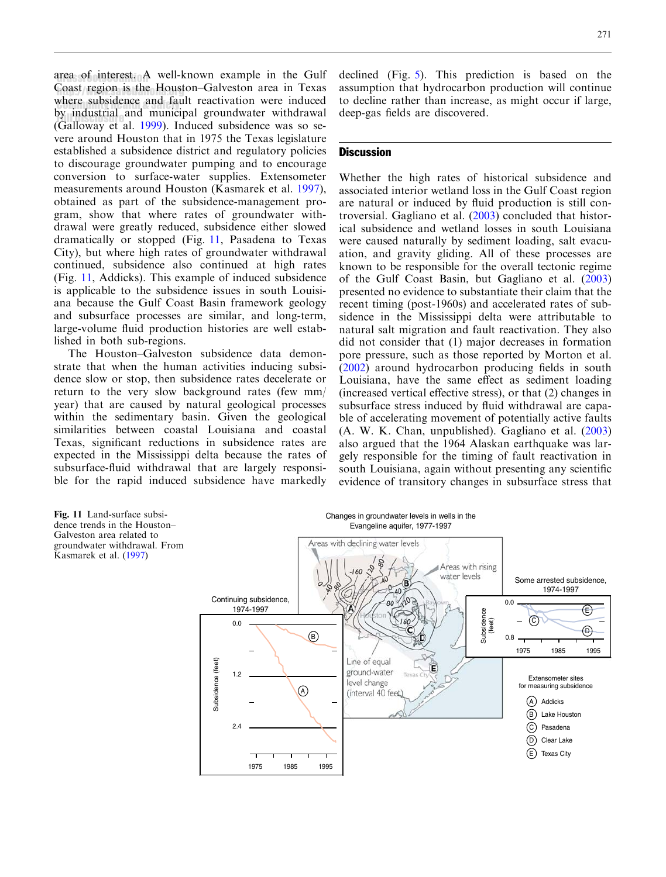area of interest. A well-known example in the Gulf Coast region is the Houston–Galveston area in Texas where subsidence and fault reactivation were induced by industrial and municipal groundwater withdrawal by industrial and indifferent groundwater withdrawald (Galloway et al. [1999](#page-12-0)). Induced subsidence was so severe around Houston that in 1975 the Texas legislature established a subsidence district and regulatory policies to discourage groundwater pumping and to encourage conversion to surface-water supplies. Extensometer measurements around Houston (Kasmarek et al. [1997\)](#page-12-0), obtained as part of the subsidence-management program, show that where rates of groundwater withdrawal were greatly reduced, subsidence either slowed dramatically or stopped (Fig. 11, Pasadena to Texas City), but where high rates of groundwater withdrawal continued, subsidence also continued at high rates (Fig. 11, Addicks). This example of induced subsidence is applicable to the subsidence issues in south Louisiana because the Gulf Coast Basin framework geology and subsurface processes are similar, and long-term, large-volume fluid production histories are well established in both sub-regions.

The Houston–Galveston subsidence data demonstrate that when the human activities inducing subsidence slow or stop, then subsidence rates decelerate or return to the very slow background rates (few mm/ year) that are caused by natural geological processes within the sedimentary basin. Given the geological similarities between coastal Louisiana and coastal Texas, significant reductions in subsidence rates are expected in the Mississippi delta because the rates of subsurface-fluid withdrawal that are largely responsible for the rapid induced subsidence have markedly

declined (Fig. [5\)](#page-4-0). This prediction is based on the assumption that hydrocarbon production will continue to decline rather than increase, as might occur if large, deep-gas fields are discovered.

#### **Discussion**

Whether the high rates of historical subsidence and associated interior wetland loss in the Gulf Coast region are natural or induced by fluid production is still controversial. Gagliano et al. ([2003](#page-12-0)) concluded that historical subsidence and wetland losses in south Louisiana were caused naturally by sediment loading, salt evacuation, and gravity gliding. All of these processes are known to be responsible for the overall tectonic regime of the Gulf Coast Basin, but Gagliano et al. [\(2003\)](#page-12-0) presented no evidence to substantiate their claim that the recent timing (post-1960s) and accelerated rates of subsidence in the Mississippi delta were attributable to natural salt migration and fault reactivation. They also did not consider that (1) major decreases in formation pore pressure, such as those reported by Morton et al. ([2002](#page-12-0)) around hydrocarbon producing fields in south Louisiana, have the same effect as sediment loading (increased vertical effective stress), or that (2) changes in subsurface stress induced by fluid withdrawal are capable of accelerating movement of potentially active faults (A. W. K. Chan, unpublished). Gagliano et al. [\(2003\)](#page-12-0) also argued that the 1964 Alaskan earthquake was largely responsible for the timing of fault reactivation in south Louisiana, again without presenting any scientific evidence of transitory changes in subsurface stress that

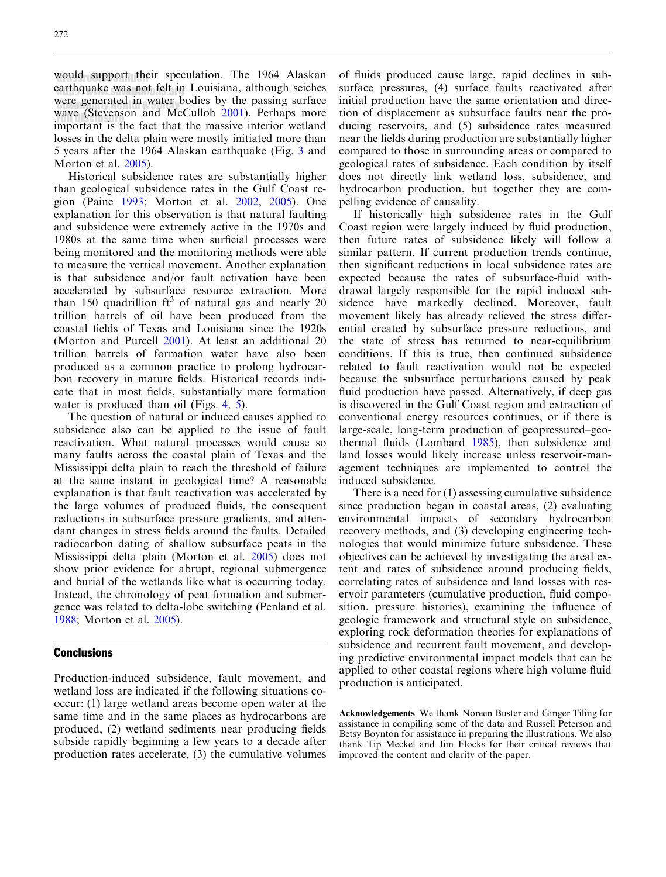would support their speculation. The 1964 Alaskan earthquake was not felt in Louisiana, although seiches were generated in water bodies by the passing surface wave (Stevenson and McCulloh [2001](#page-13-0)). Perhaps more may tell that the massive interior wetland losses in the delta plain were mostly initiated more than 5 years after the 1964 Alaskan earthquake (Fig. [3](#page-3-0) and Morton et al. [2005](#page-12-0)).

Historical subsidence rates are substantially higher than geological subsidence rates in the Gulf Coast region (Paine [1993;](#page-12-0) Morton et al. [2002](#page-12-0), [2005](#page-12-0)). One explanation for this observation is that natural faulting and subsidence were extremely active in the 1970s and 1980s at the same time when surficial processes were being monitored and the monitoring methods were able to measure the vertical movement. Another explanation is that subsidence and/or fault activation have been accelerated by subsurface resource extraction. More than 150 quadrillion  $ft^3$  of natural gas and nearly 20 trillion barrels of oil have been produced from the coastal fields of Texas and Louisiana since the 1920s (Morton and Purcell [2001](#page-12-0)). At least an additional 20 trillion barrels of formation water have also been produced as a common practice to prolong hydrocarbon recovery in mature fields. Historical records indicate that in most fields, substantially more formation water is produced than oil (Figs. [4,](#page-4-0) [5\)](#page-4-0).

The question of natural or induced causes applied to subsidence also can be applied to the issue of fault reactivation. What natural processes would cause so many faults across the coastal plain of Texas and the Mississippi delta plain to reach the threshold of failure at the same instant in geological time? A reasonable explanation is that fault reactivation was accelerated by the large volumes of produced fluids, the consequent reductions in subsurface pressure gradients, and attendant changes in stress fields around the faults. Detailed radiocarbon dating of shallow subsurface peats in the Mississippi delta plain (Morton et al. [2005\)](#page-12-0) does not show prior evidence for abrupt, regional submergence and burial of the wetlands like what is occurring today. Instead, the chronology of peat formation and submergence was related to delta-lobe switching (Penland et al. [1988](#page-12-0); Morton et al. [2005\)](#page-12-0).

#### **Conclusions**

Production-induced subsidence, fault movement, and wetland loss are indicated if the following situations cooccur: (1) large wetland areas become open water at the same time and in the same places as hydrocarbons are produced, (2) wetland sediments near producing fields subside rapidly beginning a few years to a decade after production rates accelerate, (3) the cumulative volumes

of fluids produced cause large, rapid declines in subsurface pressures, (4) surface faults reactivated after initial production have the same orientation and direction of displacement as subsurface faults near the producing reservoirs, and (5) subsidence rates measured near the fields during production are substantially higher compared to those in surrounding areas or compared to geological rates of subsidence. Each condition by itself does not directly link wetland loss, subsidence, and hydrocarbon production, but together they are compelling evidence of causality.

If historically high subsidence rates in the Gulf Coast region were largely induced by fluid production, then future rates of subsidence likely will follow a similar pattern. If current production trends continue, then significant reductions in local subsidence rates are expected because the rates of subsurface-fluid withdrawal largely responsible for the rapid induced subsidence have markedly declined. Moreover, fault movement likely has already relieved the stress differential created by subsurface pressure reductions, and the state of stress has returned to near-equilibrium conditions. If this is true, then continued subsidence related to fault reactivation would not be expected because the subsurface perturbations caused by peak fluid production have passed. Alternatively, if deep gas is discovered in the Gulf Coast region and extraction of conventional energy resources continues, or if there is large-scale, long-term production of geopressured–geothermal fluids (Lombard [1985](#page-12-0)), then subsidence and land losses would likely increase unless reservoir-management techniques are implemented to control the induced subsidence.

There is a need for (1) assessing cumulative subsidence since production began in coastal areas, (2) evaluating environmental impacts of secondary hydrocarbon recovery methods, and (3) developing engineering technologies that would minimize future subsidence. These objectives can be achieved by investigating the areal extent and rates of subsidence around producing fields, correlating rates of subsidence and land losses with reservoir parameters (cumulative production, fluid composition, pressure histories), examining the influence of geologic framework and structural style on subsidence, exploring rock deformation theories for explanations of subsidence and recurrent fault movement, and developing predictive environmental impact models that can be applied to other coastal regions where high volume fluid production is anticipated.

Acknowledgements We thank Noreen Buster and Ginger Tiling for assistance in compiling some of the data and Russell Peterson and Betsy Boynton for assistance in preparing the illustrations. We also thank Tip Meckel and Jim Flocks for their critical reviews that improved the content and clarity of the paper.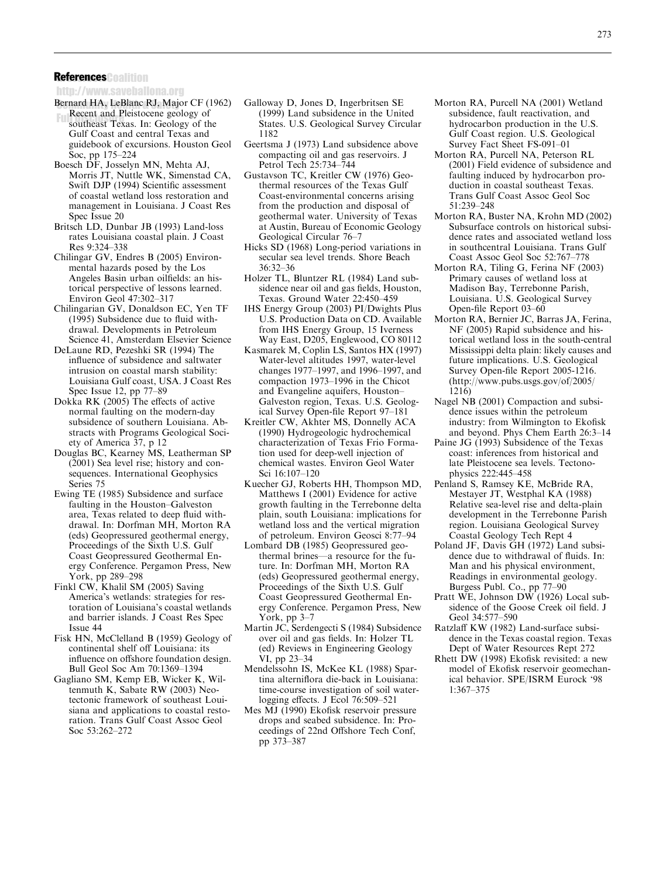# <span id="page-12-0"></span>References Coalition

http://www.saveballona.org

- Bernard HA, LeBlanc RJ, Major CF (1962) Recent and Pleistocene geology of southeast Texas. In: Geology of the Gulf Coast and central Texas and guidebook of excursions. Houston Geol Soc, pp 175–224
- Boesch DF, Josselyn MN, Mehta AJ, Morris JT, Nuttle WK, Simenstad CA, Swift DJP (1994) Scientific assessment of coastal wetland loss restoration and management in Louisiana. J Coast Res Spec Issue 20
- Britsch LD, Dunbar JB (1993) Land-loss rates Louisiana coastal plain. J Coast Res 9:324–338
- Chilingar GV, Endres B (2005) Environmental hazards posed by the Los Angeles Basin urban oilfields: an historical perspective of lessons learned. Environ Geol 47:302–317
- Chilingarian GV, Donaldson EC, Yen TF (1995) Subsidence due to fluid withdrawal. Developments in Petroleum Science 41, Amsterdam Elsevier Science
- DeLaune RD, Pezeshki SR (1994) The influence of subsidence and saltwater intrusion on coastal marsh stability: Louisiana Gulf coast, USA. J Coast Res Spec Issue 12, pp 77–89
- Dokka RK (2005) The effects of active normal faulting on the modern-day subsidence of southern Louisiana. Abstracts with Programs Geological Society of America 37, p 12
- Douglas BC, Kearney MS, Leatherman SP (2001) Sea level rise; history and consequences. International Geophysics Series 75
- Ewing TE (1985) Subsidence and surface faulting in the Houston–Galveston area, Texas related to deep fluid withdrawal. In: Dorfman MH, Morton RA (eds) Geopressured geothermal energy, Proceedings of the Sixth U.S. Gulf Coast Geopressured Geothermal Energy Conference. Pergamon Press, New York, pp 289–298
- Finkl CW, Khalil SM (2005) Saving America's wetlands: strategies for restoration of Louisiana's coastal wetlands and barrier islands. J Coast Res Spec Issue 44
- Fisk HN, McClelland B (1959) Geology of continental shelf off Louisiana: its influence on offshore foundation design. Bull Geol Soc Am 70:1369–1394
- Gagliano SM, Kemp EB, Wicker K, Wiltenmuth K, Sabate RW (2003) Neotectonic framework of southeast Louisiana and applications to coastal restoration. Trans Gulf Coast Assoc Geol Soc 53:262–272
- Galloway D, Jones D, Ingerbritsen SE (1999) Land subsidence in the United States. U.S. Geological Survey Circular 1182
- Geertsma J (1973) Land subsidence above compacting oil and gas reservoirs. J Petrol Tech 25:734–744
- Gustavson TC, Kreitler CW (1976) Geothermal resources of the Texas Gulf Coast-environmental concerns arising from the production and disposal of geothermal water. University of Texas at Austin, Bureau of Economic Geology Geological Circular 76–7
- Hicks SD (1968) Long-period variations in secular sea level trends. Shore Beach 36:32–36
- Holzer TL, Bluntzer RL (1984) Land subsidence near oil and gas fields, Houston, Texas. Ground Water 22:450–459
- IHS Energy Group (2003) PI/Dwights Plus U.S. Production Data on CD. Available from IHS Energy Group, 15 Iverness Way East, D205, Englewood, CO 80112
- Kasmarek M, Coplin LS, Santos HX (1997) Water-level altitudes 1997, water-level changes 1977–1997, and 1996–1997, and compaction 1973–1996 in the Chicot and Evangeline aquifers, Houston– Galveston region, Texas. U.S. Geological Survey Open-file Report 97–181
- Kreitler CW, Akhter MS, Donnelly ACA (1990) Hydrogeologic hydrochemical characterization of Texas Frio Formation used for deep-well injection of chemical wastes. Environ Geol Water Sci 16:107–120
- Kuecher GJ, Roberts HH, Thompson MD, Matthews I (2001) Evidence for active growth faulting in the Terrebonne delta plain, south Louisiana: implications for wetland loss and the vertical migration of petroleum. Environ Geosci 8:77–94
- Lombard DB (1985) Geopressured geothermal brines—a resource for the future. In: Dorfman MH, Morton RA (eds) Geopressured geothermal energy, Proceedings of the Sixth U.S. Gulf Coast Geopressured Geothermal Energy Conference. Pergamon Press, New York, pp 3–7
- Martin JC, Serdengecti S (1984) Subsidence over oil and gas fields. In: Holzer TL (ed) Reviews in Engineering Geology VI, pp 23–34
- Mendelssohn IS, McKee KL (1988) Spartina alterniflora die-back in Louisiana: time-course investigation of soil waterlogging effects. J Ecol 76:509–521
- Mes MJ (1990) Ekofisk reservoir pressure drops and seabed subsidence. In: Proceedings of 22nd Offshore Tech Conf, pp 373–387
- Morton RA, Purcell NA (2001) Wetland subsidence, fault reactivation, and hydrocarbon production in the U.S. Gulf Coast region. U.S. Geological Survey Fact Sheet FS-091–01
- Morton RA, Purcell NA, Peterson RL (2001) Field evidence of subsidence and faulting induced by hydrocarbon production in coastal southeast Texas. Trans Gulf Coast Assoc Geol Soc 51:239–248
- Morton RA, Buster NA, Krohn MD (2002) Subsurface controls on historical subsidence rates and associated wetland loss in southcentral Louisiana. Trans Gulf Coast Assoc Geol Soc 52:767–778
- Morton RA, Tiling G, Ferina NF (2003) Primary causes of wetland loss at Madison Bay, Terrebonne Parish, Louisiana. U.S. Geological Survey Open-file Report 03–60
- Morton RA, Bernier JC, Barras JA, Ferina, NF (2005) Rapid subsidence and historical wetland loss in the south-central Mississippi delta plain: likely causes and future implications. U.S. Geological Survey Open-file Report 2005-1216. (http://www.pubs.usgs.gov/of/2005/ 1216)
- Nagel NB (2001) Compaction and subsidence issues within the petroleum industry: from Wilmington to Ekofisk and beyond. Phys Chem Earth 26:3–14
- Paine JG (1993) Subsidence of the Texas coast: inferences from historical and late Pleistocene sea levels. Tectonophysics 222:445–458
- Penland S, Ramsey KE, McBride RA, Mestayer JT, Westphal KA (1988) Relative sea-level rise and delta-plain development in the Terrebonne Parish region. Louisiana Geological Survey Coastal Geology Tech Rept 4
- Poland JF, Davis GH (1972) Land subsidence due to withdrawal of fluids. In: Man and his physical environment, Readings in environmental geology. Burgess Publ. Co., pp 77–90
- Pratt WE, Johnson DW (1926) Local subsidence of the Goose Creek oil field. J Geol 34:577–590
- Ratzlaff KW (1982) Land-surface subsidence in the Texas coastal region. Texas Dept of Water Resources Rept 272
- Rhett DW (1998) Ekofisk revisited: a new model of Ekofisk reservoir geomechanical behavior. SPE/ISRM Eurock '98 1:367–375